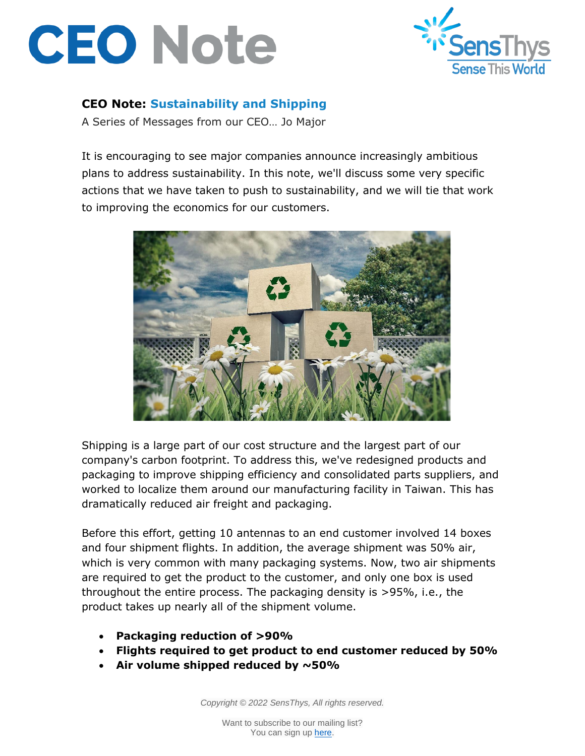



## **CEO Note: Sustainability and Shipping**

A Series of Messages from our CEO… Jo Major

It is encouraging to see major companies announce increasingly ambitious plans to address sustainability. In this note, we'll discuss some very specific actions that we have taken to push to sustainability, and we will tie that work to improving the economics for our customers.



Shipping is a large part of our cost structure and the largest part of our company's carbon footprint. To address this, we've redesigned products and packaging to improve shipping efficiency and consolidated parts suppliers, and worked to localize them around our manufacturing facility in Taiwan. This has dramatically reduced air freight and packaging.

Before this effort, getting 10 antennas to an end customer involved 14 boxes and four shipment flights. In addition, the average shipment was 50% air, which is very common with many packaging systems. Now, two air shipments are required to get the product to the customer, and only one box is used throughout the entire process. The packaging density is >95%, i.e., the product takes up nearly all of the shipment volume.

- **Packaging reduction of >90%**
- **Flights required to get product to end customer reduced by 50%**
- **Air volume shipped reduced by ~50%**

*Copyright © 2022 SensThys, All rights reserved.*